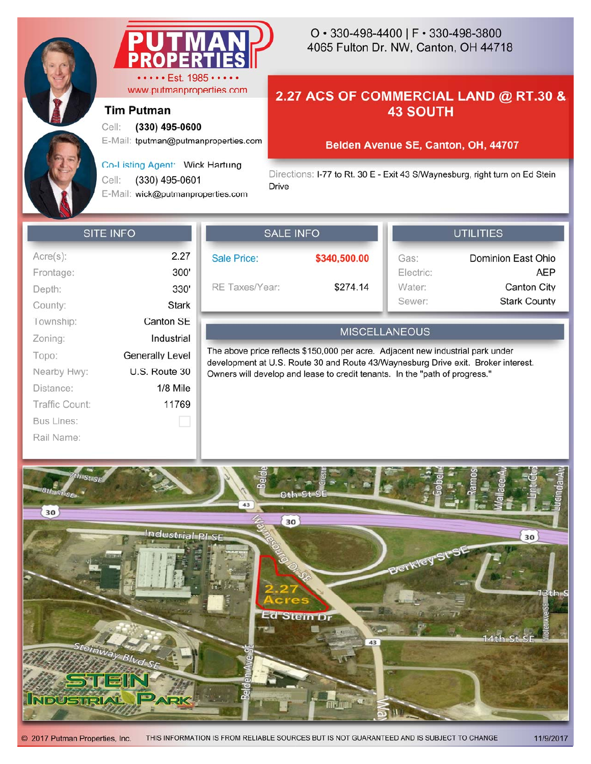

www.putmanproperties.com

E-Mail: tputman@putmanproperties.com

Co-Listing Agent: Wick Hartung

E-Mail: wick@putmanproperties.com

Cell: **(330) 495-0600**

Cell: (330) 495-0601

**Tim Putman**

# 4065 Fulton Dr. NW, Canton, OH 44718 O • 330-498-4400 | F • 330-498-3800

## **2.27 ACS OF COMMERCIAL LAND @ RT.30 & 43 SOUTH**

### **Belden Avenue SE, Canton, OH, 44707**

Directions: I-77 to Rt. 30 E - Exit 43 S/Waynesburg, right turn on Ed Stein Drive

### **SITE INFO**

| Acre(s):       | 2.27                   |
|----------------|------------------------|
| Frontage:      | 300'                   |
| Depth:         | 330'                   |
| County:        | Stark                  |
| Township:      | Canton SE              |
| Zoning:        | Industrial             |
| Topo:          | <b>Generally Level</b> |
| Nearby Hwy:    | U.S. Route 30          |
| Distance:      | $1/8$ Mile             |
| Traffic Count: | 11769                  |
| Bus Lines:     |                        |
| Rail Name:     |                        |
|                |                        |

| SALE INFO          |              |
|--------------------|--------------|
| <b>Sale Price:</b> | \$340,500.00 |
| RE Taxes/Year:     | \$274.14     |

| Gas:      | <b>Dominion East Ohio</b> |
|-----------|---------------------------|
| Electric: | AEP                       |
| Water:    | <b>Canton City</b>        |
| Sewer:    | <b>Stark County</b>       |

**LITILITIES** 

### **MISCELLANEOUS**

The above price reflects \$150,000 per acre. Adjacent new industrial park under development at U.S. Route 30 and Route 43/Waynesburg Drive exit. Broker interest. Owners will develop and lease to credit tenants. In the "path of progress."